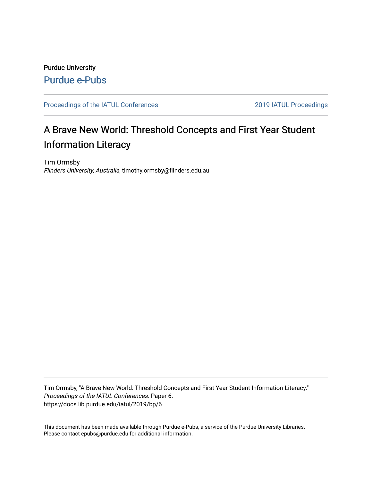## Purdue University [Purdue e-Pubs](https://docs.lib.purdue.edu/)

### [Proceedings of the IATUL Conferences](https://docs.lib.purdue.edu/iatul) 2019 2019 IATUL Proceedings

# A Brave New World: Threshold Concepts and First Year Student Information Literacy

Tim Ormsby Flinders University, Australia, timothy.ormsby@flinders.edu.au

Tim Ormsby, "A Brave New World: Threshold Concepts and First Year Student Information Literacy." Proceedings of the IATUL Conferences. Paper 6. https://docs.lib.purdue.edu/iatul/2019/bp/6

This document has been made available through Purdue e-Pubs, a service of the Purdue University Libraries. Please contact epubs@purdue.edu for additional information.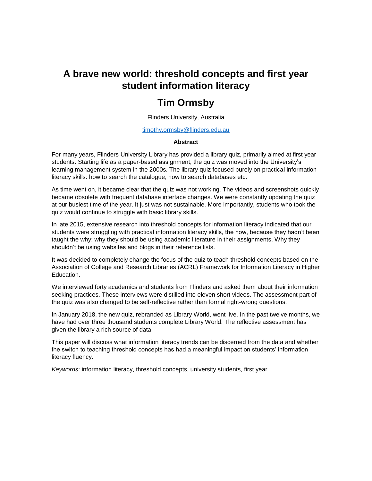# **A brave new world: threshold concepts and first year student information literacy**

### **Tim Ormsby**

Flinders University, Australia

#### [timothy.ormsby@flinders.edu.au](mailto:timothy.ormsby@flinders.edu.au)

#### **Abstract**

For many years, Flinders University Library has provided a library quiz, primarily aimed at first year students. Starting life as a paper-based assignment, the quiz was moved into the University's learning management system in the 2000s. The library quiz focused purely on practical information literacy skills: how to search the catalogue, how to search databases etc.

As time went on, it became clear that the quiz was not working. The videos and screenshots quickly became obsolete with frequent database interface changes. We were constantly updating the quiz at our busiest time of the year. It just was not sustainable. More importantly, students who took the quiz would continue to struggle with basic library skills.

In late 2015, extensive research into threshold concepts for information literacy indicated that our students were struggling with practical information literacy skills, the how, because they hadn't been taught the why: why they should be using academic literature in their assignments. Why they shouldn't be using websites and blogs in their reference lists.

It was decided to completely change the focus of the quiz to teach threshold concepts based on the Association of College and Research Libraries (ACRL) Framework for Information Literacy in Higher Education.

We interviewed forty academics and students from Flinders and asked them about their information seeking practices. These interviews were distilled into eleven short videos. The assessment part of the quiz was also changed to be self-reflective rather than formal right-wrong questions.

In January 2018, the new quiz, rebranded as Library World, went live. In the past twelve months, we have had over three thousand students complete Library World. The reflective assessment has given the library a rich source of data.

This paper will discuss what information literacy trends can be discerned from the data and whether the switch to teaching threshold concepts has had a meaningful impact on students' information literacy fluency.

*Keywords*: information literacy, threshold concepts, university students, first year.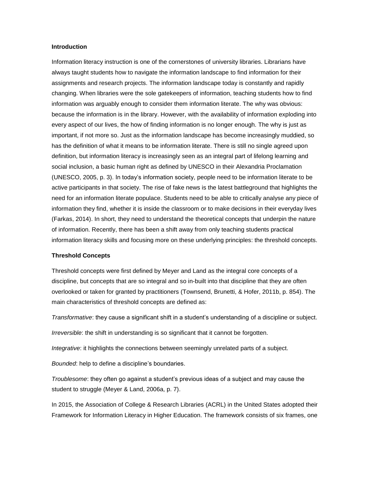#### **Introduction**

Information literacy instruction is one of the cornerstones of university libraries. Librarians have always taught students how to navigate the information landscape to find information for their assignments and research projects. The information landscape today is constantly and rapidly changing. When libraries were the sole gatekeepers of information, teaching students how to find information was arguably enough to consider them information literate. The why was obvious: because the information is in the library. However, with the availability of information exploding into every aspect of our lives, the how of finding information is no longer enough. The why is just as important, if not more so. Just as the information landscape has become increasingly muddied, so has the definition of what it means to be information literate. There is still no single agreed upon definition, but information literacy is increasingly seen as an integral part of lifelong learning and social inclusion, a basic human right as defined by UNESCO in their Alexandria Proclamation (UNESCO, 2005, p. 3). In today's information society, people need to be information literate to be active participants in that society. The rise of fake news is the latest battleground that highlights the need for an information literate populace. Students need to be able to critically analyse any piece of information they find, whether it is inside the classroom or to make decisions in their everyday lives (Farkas, 2014). In short, they need to understand the theoretical concepts that underpin the nature of information. Recently, there has been a shift away from only teaching students practical information literacy skills and focusing more on these underlying principles: the threshold concepts.

#### **Threshold Concepts**

Threshold concepts were first defined by Meyer and Land as the integral core concepts of a discipline, but concepts that are so integral and so in-built into that discipline that they are often overlooked or taken for granted by practitioners (Townsend, Brunetti, & Hofer, 2011b, p. 854). The main characteristics of threshold concepts are defined as:

*Transformative*: they cause a significant shift in a student's understanding of a discipline or subject.

*Irreversible*: the shift in understanding is so significant that it cannot be forgotten.

*Integrative*: it highlights the connections between seemingly unrelated parts of a subject.

*Bounded*: help to define a discipline's boundaries.

*Troublesome*: they often go against a student's previous ideas of a subject and may cause the student to struggle (Meyer & Land, 2006a, p. 7).

In 2015, the Association of College & Research Libraries (ACRL) in the United States adopted their Framework for Information Literacy in Higher Education. The framework consists of six frames, one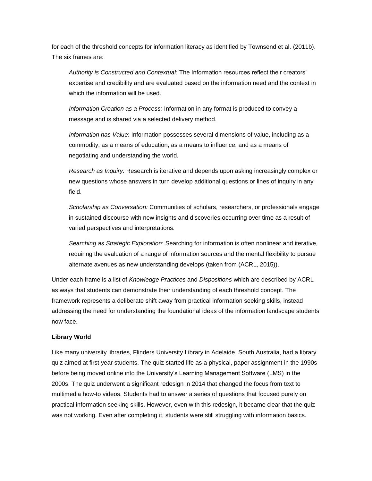for each of the threshold concepts for information literacy as identified by Townsend et al. (2011b). The six frames are:

*Authority is Constructed and Contextual:* The Information resources reflect their creators' expertise and credibility and are evaluated based on the information need and the context in which the information will be used.

*Information Creation as a Process:* Information in any format is produced to convey a message and is shared via a selected delivery method.

*Information has Value*: Information possesses several dimensions of value, including as a commodity, as a means of education, as a means to influence, and as a means of negotiating and understanding the world.

*Research as Inquiry:* Research is iterative and depends upon asking increasingly complex or new questions whose answers in turn develop additional questions or lines of inquiry in any field.

*Scholarship as Conversation:* Communities of scholars, researchers, or professionals engage in sustained discourse with new insights and discoveries occurring over time as a result of varied perspectives and interpretations.

*Searching as Strategic Exploration*: Searching for information is often nonlinear and iterative, requiring the evaluation of a range of information sources and the mental flexibility to pursue alternate avenues as new understanding develops (taken from (ACRL, 2015)).

Under each frame is a list of *Knowledge Practices* and *Dispositions* which are described by ACRL as ways that students can demonstrate their understanding of each threshold concept. The framework represents a deliberate shift away from practical information seeking skills, instead addressing the need for understanding the foundational ideas of the information landscape students now face.

#### **Library World**

Like many university libraries, Flinders University Library in Adelaide, South Australia, had a library quiz aimed at first year students. The quiz started life as a physical, paper assignment in the 1990s before being moved online into the University's Learning Management Software (LMS) in the 2000s. The quiz underwent a significant redesign in 2014 that changed the focus from text to multimedia how-to videos. Students had to answer a series of questions that focused purely on practical information seeking skills. However, even with this redesign, it became clear that the quiz was not working. Even after completing it, students were still struggling with information basics.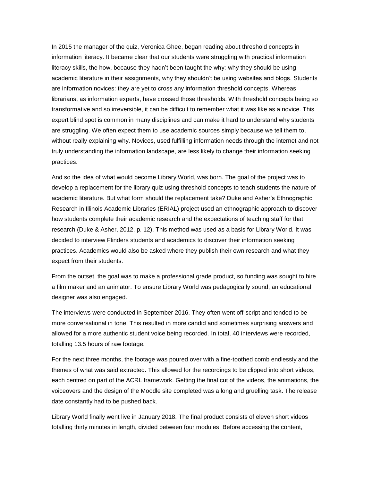In 2015 the manager of the quiz, Veronica Ghee, began reading about threshold concepts in information literacy. It became clear that our students were struggling with practical information literacy skills, the how, because they hadn't been taught the why: why they should be using academic literature in their assignments, why they shouldn't be using websites and blogs. Students are information novices: they are yet to cross any information threshold concepts. Whereas librarians, as information experts, have crossed those thresholds. With threshold concepts being so transformative and so irreversible, it can be difficult to remember what it was like as a novice. This expert blind spot is common in many disciplines and can make it hard to understand why students are struggling. We often expect them to use academic sources simply because we tell them to, without really explaining why. Novices, used fulfilling information needs through the internet and not truly understanding the information landscape, are less likely to change their information seeking practices.

And so the idea of what would become Library World, was born. The goal of the project was to develop a replacement for the library quiz using threshold concepts to teach students the nature of academic literature. But what form should the replacement take? Duke and Asher's Ethnographic Research in Illinois Academic Libraries (ERIAL) project used an ethnographic approach to discover how students complete their academic research and the expectations of teaching staff for that research (Duke & Asher, 2012, p. 12). This method was used as a basis for Library World. It was decided to interview Flinders students and academics to discover their information seeking practices. Academics would also be asked where they publish their own research and what they expect from their students.

From the outset, the goal was to make a professional grade product, so funding was sought to hire a film maker and an animator. To ensure Library World was pedagogically sound, an educational designer was also engaged.

The interviews were conducted in September 2016. They often went off-script and tended to be more conversational in tone. This resulted in more candid and sometimes surprising answers and allowed for a more authentic student voice being recorded. In total, 40 interviews were recorded, totalling 13.5 hours of raw footage.

For the next three months, the footage was poured over with a fine-toothed comb endlessly and the themes of what was said extracted. This allowed for the recordings to be clipped into short videos, each centred on part of the ACRL framework. Getting the final cut of the videos, the animations, the voiceovers and the design of the Moodle site completed was a long and gruelling task. The release date constantly had to be pushed back.

Library World finally went live in January 2018. The final product consists of eleven short videos totalling thirty minutes in length, divided between four modules. Before accessing the content,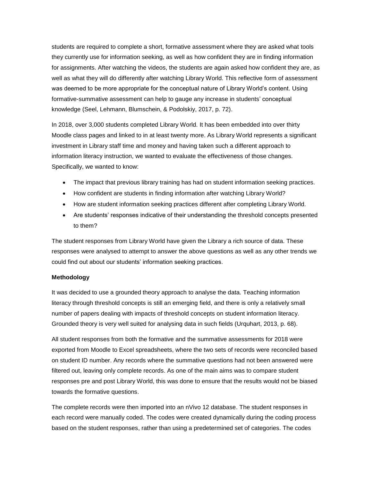students are required to complete a short, formative assessment where they are asked what tools they currently use for information seeking, as well as how confident they are in finding information for assignments. After watching the videos, the students are again asked how confident they are, as well as what they will do differently after watching Library World. This reflective form of assessment was deemed to be more appropriate for the conceptual nature of Library World's content. Using formative-summative assessment can help to gauge any increase in students' conceptual knowledge (Seel, Lehmann, Blumschein, & Podolskiy, 2017, p. 72).

In 2018, over 3,000 students completed Library World. It has been embedded into over thirty Moodle class pages and linked to in at least twenty more. As Library World represents a significant investment in Library staff time and money and having taken such a different approach to information literacy instruction, we wanted to evaluate the effectiveness of those changes. Specifically, we wanted to know:

- The impact that previous library training has had on student information seeking practices.
- How confident are students in finding information after watching Library World?
- How are student information seeking practices different after completing Library World.
- Are students' responses indicative of their understanding the threshold concepts presented to them?

The student responses from Library World have given the Library a rich source of data. These responses were analysed to attempt to answer the above questions as well as any other trends we could find out about our students' information seeking practices.

### **Methodology**

It was decided to use a grounded theory approach to analyse the data. Teaching information literacy through threshold concepts is still an emerging field, and there is only a relatively small number of papers dealing with impacts of threshold concepts on student information literacy. Grounded theory is very well suited for analysing data in such fields (Urquhart, 2013, p. 68).

All student responses from both the formative and the summative assessments for 2018 were exported from Moodle to Excel spreadsheets, where the two sets of records were reconciled based on student ID number. Any records where the summative questions had not been answered were filtered out, leaving only complete records. As one of the main aims was to compare student responses pre and post Library World, this was done to ensure that the results would not be biased towards the formative questions.

The complete records were then imported into an nVivo 12 database. The student responses in each record were manually coded. The codes were created dynamically during the coding process based on the student responses, rather than using a predetermined set of categories. The codes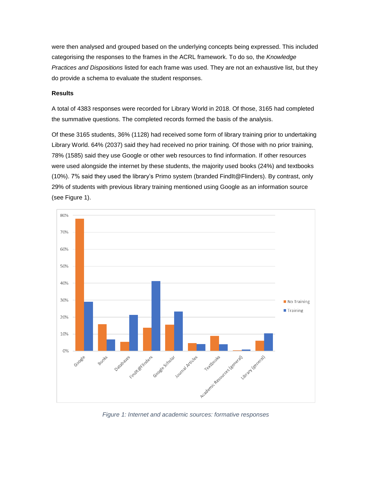were then analysed and grouped based on the underlying concepts being expressed. This included categorising the responses to the frames in the ACRL framework. To do so, the *Knowledge Practices and Dispositions* listed for each frame was used. They are not an exhaustive list, but they do provide a schema to evaluate the student responses.

#### **Results**

A total of 4383 responses were recorded for Library World in 2018. Of those, 3165 had completed the summative questions. The completed records formed the basis of the analysis.

Of these 3165 students, 36% (1128) had received some form of library training prior to undertaking Library World. 64% (2037) said they had received no prior training. Of those with no prior training, 78% (1585) said they use Google or other web resources to find information. If other resources were used alongside the internet by these students, the majority used books (24%) and textbooks (10%). 7% said they used the library's Primo system (branded FindIt@Flinders). By contrast, only 29% of students with previous library training mentioned using Google as an information source (see Figure 1).



*Figure 1: Internet and academic sources: formative responses*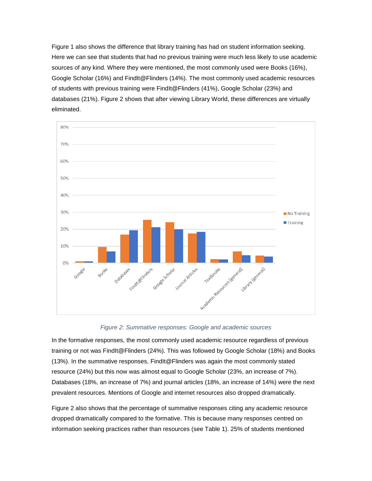Figure 1 also shows the difference that library training has had on student information seeking. Here we can see that students that had no previous training were much less likely to use academic sources of any kind. Where they were mentioned, the most commonly used were Books (16%), Google Scholar (16%) and FindIt@Flinders (14%). The most commonly used academic resources of students with previous training were FindIt@Flinders (41%), Google Scholar (23%) and databases (21%). Figure 2 shows that after viewing Library World, these differences are virtually eliminated.



*Figure 2: Summative responses: Google and academic sources*

In the formative responses, the most commonly used academic resource regardless of previous training or not was FindIt@Flinders (24%). This was followed by Google Scholar (18%) and Books (13%). In the summative responses, FindIt@Flinders was again the most commonly stated resource (24%) but this now was almost equal to Google Scholar (23%, an increase of 7%). Databases (18%, an increase of 7%) and journal articles (18%, an increase of 14%) were the next prevalent resources. Mentions of Google and internet resources also dropped dramatically.

Figure 2 also shows that the percentage of summative responses citing any academic resource dropped dramatically compared to the formative. This is because many responses centred on information seeking practices rather than resources (see Table 1). 25% of students mentioned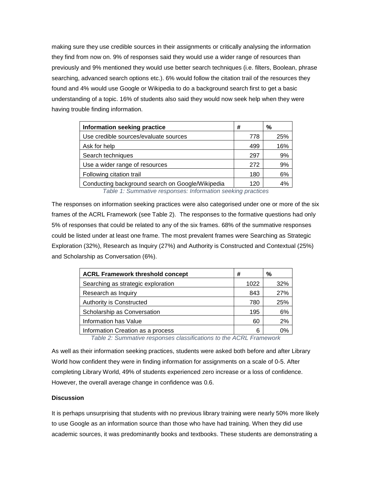making sure they use credible sources in their assignments or critically analysing the information they find from now on. 9% of responses said they would use a wider range of resources than previously and 9% mentioned they would use better search techniques (i.e. filters, Boolean, phrase searching, advanced search options etc.). 6% would follow the citation trail of the resources they found and 4% would use Google or Wikipedia to do a background search first to get a basic understanding of a topic. 16% of students also said they would now seek help when they were having trouble finding information.

| Information seeking practice                     | #   | %   |
|--------------------------------------------------|-----|-----|
| Use credible sources/evaluate sources            | 778 | 25% |
| Ask for help                                     | 499 | 16% |
| Search techniques                                | 297 | 9%  |
| Use a wider range of resources                   | 272 | 9%  |
| Following citation trail                         | 180 | 6%  |
| Conducting background search on Google/Wikipedia | 120 | 4%  |

*Table 1: Summative responses: Information seeking practices*

The responses on information seeking practices were also categorised under one or more of the six frames of the ACRL Framework (see Table 2). The responses to the formative questions had only 5% of responses that could be related to any of the six frames. 68% of the summative responses could be listed under at least one frame. The most prevalent frames were Searching as Strategic Exploration (32%), Research as Inquiry (27%) and Authority is Constructed and Contextual (25%) and Scholarship as Conversation (6%).

| <b>ACRL Framework threshold concept</b> | #    | %   |
|-----------------------------------------|------|-----|
| Searching as strategic exploration      | 1022 | 32% |
| Research as Inquiry                     | 843  | 27% |
| Authority is Constructed                | 780  | 25% |
| Scholarship as Conversation             | 195  | 6%  |
| Information has Value                   | 60   | 2%  |
| Information Creation as a process       | 6    | በ%  |

*Table 2: Summative responses classifications to the ACRL Framework*

As well as their information seeking practices, students were asked both before and after Library World how confident they were in finding information for assignments on a scale of 0-5. After completing Library World, 49% of students experienced zero increase or a loss of confidence. However, the overall average change in confidence was 0.6.

#### **Discussion**

It is perhaps unsurprising that students with no previous library training were nearly 50% more likely to use Google as an information source than those who have had training. When they did use academic sources, it was predominantly books and textbooks. These students are demonstrating a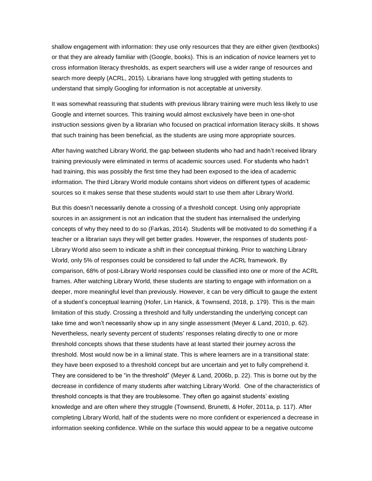shallow engagement with information: they use only resources that they are either given (textbooks) or that they are already familiar with (Google, books). This is an indication of novice learners yet to cross information literacy thresholds, as expert searchers will use a wider range of resources and search more deeply (ACRL, 2015). Librarians have long struggled with getting students to understand that simply Googling for information is not acceptable at university.

It was somewhat reassuring that students with previous library training were much less likely to use Google and internet sources. This training would almost exclusively have been in one-shot instruction sessions given by a librarian who focused on practical information literacy skills. It shows that such training has been beneficial, as the students are using more appropriate sources.

After having watched Library World, the gap between students who had and hadn't received library training previously were eliminated in terms of academic sources used. For students who hadn't had training, this was possibly the first time they had been exposed to the idea of academic information. The third Library World module contains short videos on different types of academic sources so it makes sense that these students would start to use them after Library World.

But this doesn't necessarily denote a crossing of a threshold concept. Using only appropriate sources in an assignment is not an indication that the student has internalised the underlying concepts of why they need to do so (Farkas, 2014). Students will be motivated to do something if a teacher or a librarian says they will get better grades. However, the responses of students post-Library World also seem to indicate a shift in their conceptual thinking. Prior to watching Library World, only 5% of responses could be considered to fall under the ACRL framework. By comparison, 68% of post-Library World responses could be classified into one or more of the ACRL frames. After watching Library World, these students are starting to engage with information on a deeper, more meaningful level than previously. However, it can be very difficult to gauge the extent of a student's conceptual learning (Hofer, Lin Hanick, & Townsend, 2018, p. 179). This is the main limitation of this study. Crossing a threshold and fully understanding the underlying concept can take time and won't necessarily show up in any single assessment (Meyer & Land, 2010, p. 62). Nevertheless, nearly seventy percent of students' responses relating directly to one or more threshold concepts shows that these students have at least started their journey across the threshold. Most would now be in a liminal state. This is where learners are in a transitional state: they have been exposed to a threshold concept but are uncertain and yet to fully comprehend it. They are considered to be "in the threshold" (Meyer & Land, 2006b, p. 22). This is borne out by the decrease in confidence of many students after watching Library World. One of the characteristics of threshold concepts is that they are troublesome. They often go against students' existing knowledge and are often where they struggle (Townsend, Brunetti, & Hofer, 2011a, p. 117). After completing Library World, half of the students were no more confident or experienced a decrease in information seeking confidence. While on the surface this would appear to be a negative outcome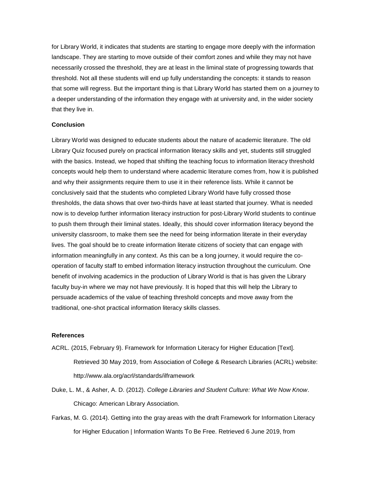for Library World, it indicates that students are starting to engage more deeply with the information landscape. They are starting to move outside of their comfort zones and while they may not have necessarily crossed the threshold, they are at least in the liminal state of progressing towards that threshold. Not all these students will end up fully understanding the concepts: it stands to reason that some will regress. But the important thing is that Library World has started them on a journey to a deeper understanding of the information they engage with at university and, in the wider society that they live in.

#### **Conclusion**

Library World was designed to educate students about the nature of academic literature. The old Library Quiz focused purely on practical information literacy skills and yet, students still struggled with the basics. Instead, we hoped that shifting the teaching focus to information literacy threshold concepts would help them to understand where academic literature comes from, how it is published and why their assignments require them to use it in their reference lists. While it cannot be conclusively said that the students who completed Library World have fully crossed those thresholds, the data shows that over two-thirds have at least started that journey. What is needed now is to develop further information literacy instruction for post-Library World students to continue to push them through their liminal states. Ideally, this should cover information literacy beyond the university classroom, to make them see the need for being information literate in their everyday lives. The goal should be to create information literate citizens of society that can engage with information meaningfully in any context. As this can be a long journey, it would require the cooperation of faculty staff to embed information literacy instruction throughout the curriculum. One benefit of involving academics in the production of Library World is that is has given the Library faculty buy-in where we may not have previously. It is hoped that this will help the Library to persuade academics of the value of teaching threshold concepts and move away from the traditional, one-shot practical information literacy skills classes.

#### **References**

- ACRL. (2015, February 9). Framework for Information Literacy for Higher Education [Text]. Retrieved 30 May 2019, from Association of College & Research Libraries (ACRL) website: http://www.ala.org/acrl/standards/ilframework
- Duke, L. M., & Asher, A. D. (2012). *College Libraries and Student Culture: What We Now Know*. Chicago: American Library Association.
- Farkas, M. G. (2014). Getting into the gray areas with the draft Framework for Information Literacy for Higher Education | Information Wants To Be Free. Retrieved 6 June 2019, from